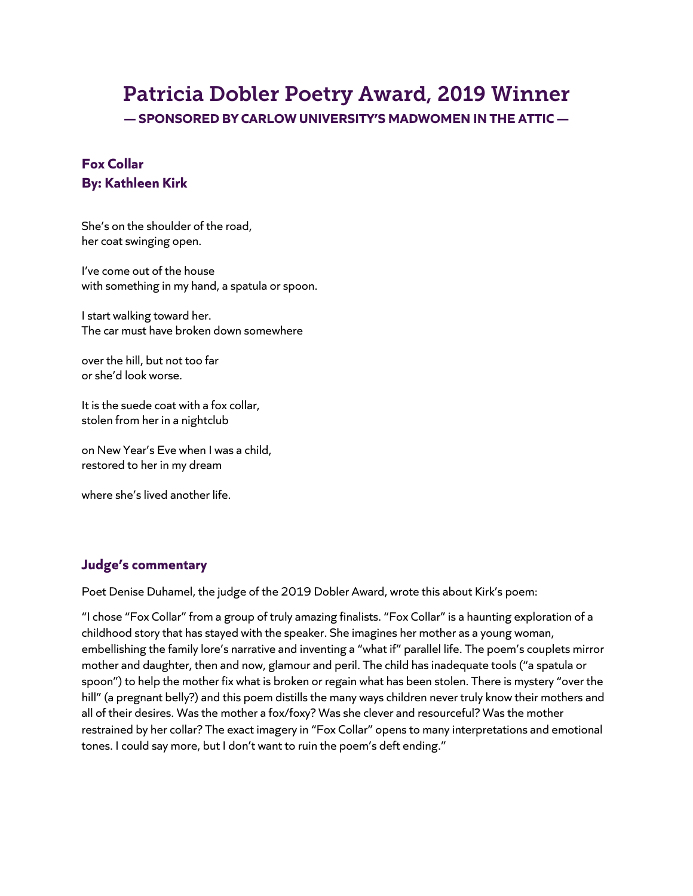# Patricia Dobler Poetry Award, 2019 Winner

**— SPONSORED BY CARLOW UNIVERSITY'S MADWOMEN IN THE ATTIC —**

## **Fox Collar By: Kathleen Kirk**

She's on the shoulder of the road, her coat swinging open.

I've come out of the house with something in my hand, a spatula or spoon.

I start walking toward her. The car must have broken down somewhere

over the hill, but not too far or she'd look worse.

It is the suede coat with a fox collar, stolen from her in a nightclub

on New Year's Eve when I was a child, restored to her in my dream

where she's lived another life.

### **Judge's commentary**

Poet Denise Duhamel, the judge of the 2019 Dobler Award, wrote this about Kirk's poem:

"I chose "Fox Collar" from a group of truly amazing finalists. "Fox Collar" is a haunting exploration of a childhood story that has stayed with the speaker. She imagines her mother as a young woman, embellishing the family lore's narrative and inventing a "what if" parallel life. The poem's couplets mirror mother and daughter, then and now, glamour and peril. The child has inadequate tools ("a spatula or spoon") to help the mother fix what is broken or regain what has been stolen. There is mystery "over the hill" (a pregnant belly?) and this poem distills the many ways children never truly know their mothers and all of their desires. Was the mother a fox/foxy? Was she clever and resourceful? Was the mother restrained by her collar? The exact imagery in "Fox Collar" opens to many interpretations and emotional tones. I could say more, but I don't want to ruin the poem's deft ending."